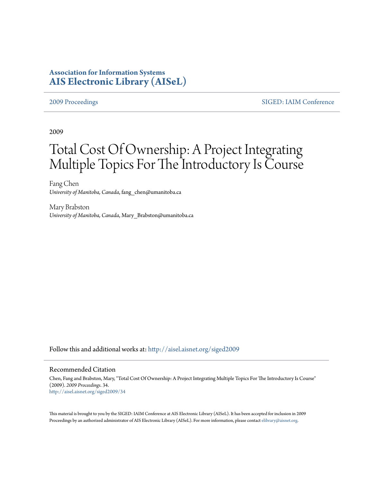# **Association for Information Systems [AIS Electronic Library \(AISeL\)](http://aisel.aisnet.org?utm_source=aisel.aisnet.org%2Fsiged2009%2F34&utm_medium=PDF&utm_campaign=PDFCoverPages)**

[2009 Proceedings](http://aisel.aisnet.org/siged2009?utm_source=aisel.aisnet.org%2Fsiged2009%2F34&utm_medium=PDF&utm_campaign=PDFCoverPages) [SIGED: IAIM Conference](http://aisel.aisnet.org/siged?utm_source=aisel.aisnet.org%2Fsiged2009%2F34&utm_medium=PDF&utm_campaign=PDFCoverPages)

2009

# Total Cost Of Ownership: A Project Integrating Multiple Topics For The Introductory Is Course

Fang Chen *University of Manitoba, Canada*, fang\_chen@umanitoba.ca

Mary Brabston *University of Manitoba, Canada*, Mary\_Brabston@umanitoba.ca

Follow this and additional works at: [http://aisel.aisnet.org/siged2009](http://aisel.aisnet.org/siged2009?utm_source=aisel.aisnet.org%2Fsiged2009%2F34&utm_medium=PDF&utm_campaign=PDFCoverPages)

#### Recommended Citation

Chen, Fang and Brabston, Mary, "Total Cost Of Ownership: A Project Integrating Multiple Topics For The Introductory Is Course" (2009). *2009 Proceedings*. 34. [http://aisel.aisnet.org/siged2009/34](http://aisel.aisnet.org/siged2009/34?utm_source=aisel.aisnet.org%2Fsiged2009%2F34&utm_medium=PDF&utm_campaign=PDFCoverPages)

This material is brought to you by the SIGED: IAIM Conference at AIS Electronic Library (AISeL). It has been accepted for inclusion in 2009 Proceedings by an authorized administrator of AIS Electronic Library (AISeL). For more information, please contact [elibrary@aisnet.org](mailto:elibrary@aisnet.org%3E).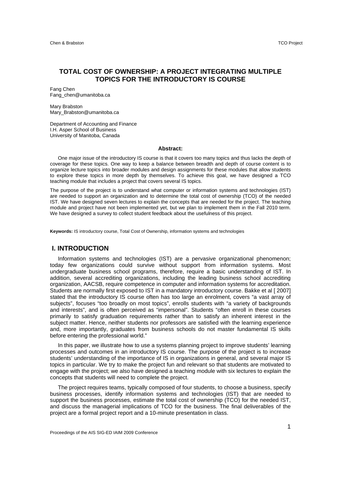# **TOTAL COST OF OWNERSHIP: A PROJECT INTEGRATING MULTIPLE TOPICS FOR THE INTRODUCTORY IS COURSE**

Fang Chen Fang\_chen@umanitoba.ca

Mary Brabston Mary\_Brabston@umanitoba.ca

Department of Accounting and Finance I.H. Asper School of Business University of Manitoba, Canada

#### **Abstract:**

One major issue of the introductory IS course is that it covers too many topics and thus lacks the depth of coverage for these topics. One way to keep a balance between breadth and depth of course content is to organize lecture topics into broader modules and design assignments for these modules that allow students to explore these topics in more depth by themselves. To achieve this goal, we have designed a TCO teaching module that includes a project that covers several IS topics.

The purpose of the project is to understand what computer or information systems and technologies (IST) are needed to support an organization and to determine the total cost of ownership (TCO) of the needed IST. We have designed seven lectures to explain the concepts that are needed for the project. The teaching module and project have not been implemented yet, but we plan to implement them in the Fall 2010 term. We have designed a survey to collect student feedback about the usefulness of this project.

**Keywords:** IS introductory course, Total Cost of Ownership, information systems and technologies

### **I. INTRODUCTION**

Information systems and technologies (IST) are a pervasive organizational phenomenon; today few organizations could survive without support from information systems. Most undergraduate business school programs, therefore, require a basic understanding of IST. In addition, several accrediting organizations, including the leading business school accrediting organization, AACSB, require competence in computer and information systems for accreditation. Students are normally first exposed to IST in a mandatory introductory course. Bakke et al [ 2007] stated that the introductory IS course often has too large an enrolment, covers "a vast array of subjects", focuses "too broadly on most topics", enrolls students with "a variety of backgrounds and interests", and is often perceived as "impersonal". Students "often enroll in these courses primarily to satisfy graduation requirements rather than to satisfy an inherent interest in the subject matter. Hence, neither students nor professors are satisfied with the learning experience and, more importantly, graduates from business schools do not master fundamental IS skills before entering the professional world."

In this paper, we illustrate how to use a systems planning project to improve students' learning processes and outcomes in an introductory IS course. The purpose of the project is to increase students' understanding of the importance of IS in organizations in general, and several major IS topics in particular. We try to make the project fun and relevant so that students are motivated to engage with the project; we also have designed a teaching module with six lectures to explain the concepts that students will need to complete the project.

The project requires teams, typically composed of four students, to choose a business, specify business processes, identify information systems and technologies (IST) that are needed to support the business processes, estimate the total cost of ownership (TCO) for the needed IST, and discuss the managerial implications of TCO for the business. The final deliverables of the project are a formal project report and a 10-minute presentation in class.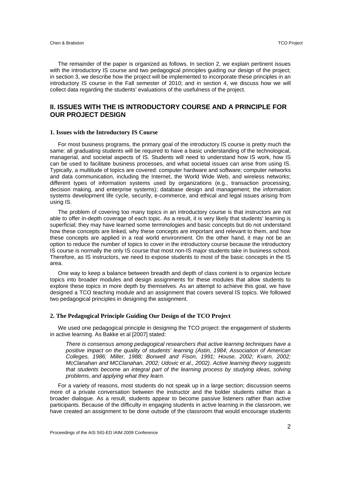The remainder of the paper is organized as follows. In section 2, we explain pertinent issues with the introductory IS course and two pedagogical principles guiding our design of the project; in section 3, we describe how the project will be implemented to incorporate these principles in an introductory IS course in the Fall semester of 2010; and in section 4, we discuss how we will collect data regarding the students' evaluations of the usefulness of the project.

# **II. ISSUES WITH THE IS INTRODUCTORY COURSE AND A PRINCIPLE FOR OUR PROJECT DESIGN**

#### **1. Issues with the Introductory IS Course**

For most business programs, the primary goal of the introductory IS course is pretty much the same: all graduating students will be required to have a basic understanding of the technological, managerial, and societal aspects of IS. Students will need to understand how IS work, how IS can be used to facilitate business processes, and what societal issues can arise from using IS. Typically, a multitude of topics are covered: computer hardware and software; computer networks and data communication, including the Internet, the World Wide Web, and wireless networks; different types of information systems used by organizations (e.g., transaction processing, decision making, and enterprise systems); database design and management; the information systems development life cycle, security, e-commerce, and ethical and legal issues arising from using IS.

The problem of covering too many topics in an introductory course is that instructors are not able to offer in-depth coverage of each topic. As a result, it is very likely that students' learning is superficial; they may have learned some terminologies and basic concepts but do not understand how these concepts are linked, why these concepts are important and relevant to them, and how these concepts are applied in a real world environment. On the other hand, it may not be an option to reduce the number of topics to cover in the introductory course because the introductory IS course is normally the only IS course that most non-IS major students take in business school. Therefore, as IS instructors, we need to expose students to most of the basic concepts in the IS area.

One way to keep a balance between breadth and depth of class content is to organize lecture topics into broader modules and design assignments for these modules that allow students to explore these topics in more depth by themselves. As an attempt to achieve this goal, we have designed a TCO teaching module and an assignment that covers several IS topics. We followed two pedagogical principles in designing the assignment.

#### **2. The Pedagogical Principle Guiding Our Design of the TCO Project**

We used one pedagogical principle in designing the TCO project: the engagement of students in active learning. As Bakke et al [2007] stated:

*There is consensus among pedagogical researchers that active learning techniques have a positive impact on the quality of students' learning (Astin, 1984; Association of American Colleges, 1986; Miller, 1988; Bonwell and Fison, 1991; House, 2002; Kvarn, 2002; McClanahan and MCClanahan, 2002; Udovic et al., 2002). Active learning theory suggests that students become an integral part of the learning process by studying ideas, solving problems, and applying what they learn.* 

For a variety of reasons, most students do not speak up in a large section; discussion seems more of a private conversation between the instructor and the bolder students rather than a broader dialogue. As a result, students appear to become passive listeners rather than active participants. Because of the difficulty in engaging students in active learning in the classroom, we have created an assignment to be done outside of the classroom that would encourage students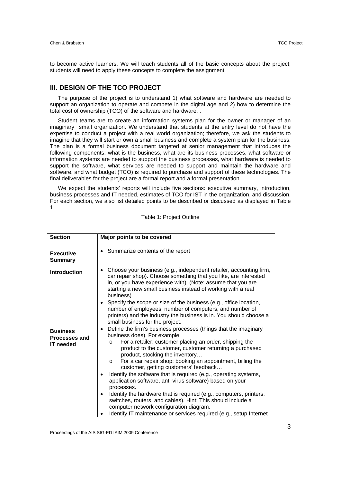to become active learners. We will teach students all of the basic concepts about the project; students will need to apply these concepts to complete the assignment.

# **III. DESIGN OF THE TCO PROJECT**

The purpose of the project is to understand 1) what software and hardware are needed to support an organization to operate and compete in the digital age and 2) how to determine the total cost of ownership (TCO) of the software and hardware. .

Student teams are to create an information systems plan for the owner or manager of an imaginary small organization. We understand that students at the entry level do not have the expertise to conduct a project with a real world organization; therefore, we ask the students to imagine that they will start or own a small business and complete a system plan for the business. The plan is a formal business document targeted at senior management that introduces the following components: what is the business, what are its business processes, what software or information systems are needed to support the business processes, what hardware is needed to support the software, what services are needed to support and maintain the hardware and software, and what budget (TCO) is required to purchase and support of these technologies. The final deliverables for the project are a formal report and a formal presentation.

We expect the students' reports will include five sections: executive summary, introduction, business processes and IT needed, estimates of TCO for IST in the organization, and discussion. For each section, we also list detailed points to be described or discussed as displayed in Table 1.

| <b>Section</b>                                              | Major points to be covered                                                                                                                                                                                                                                                                                                                                                                                                                                                                                                                                                                                                                                                                                                                                                                                                        |  |  |  |  |  |
|-------------------------------------------------------------|-----------------------------------------------------------------------------------------------------------------------------------------------------------------------------------------------------------------------------------------------------------------------------------------------------------------------------------------------------------------------------------------------------------------------------------------------------------------------------------------------------------------------------------------------------------------------------------------------------------------------------------------------------------------------------------------------------------------------------------------------------------------------------------------------------------------------------------|--|--|--|--|--|
| <b>Executive</b><br><b>Summary</b>                          | • Summarize contents of the report                                                                                                                                                                                                                                                                                                                                                                                                                                                                                                                                                                                                                                                                                                                                                                                                |  |  |  |  |  |
| <b>Introduction</b>                                         | Choose your business (e.g., independent retailer, accounting firm,<br>$\bullet$<br>car repair shop). Choose something that you like, are interested<br>in, or you have experience with). (Note: assume that you are<br>starting a new small business instead of working with a real<br>business)<br>Specify the scope or size of the business (e.g., office location,<br>number of employees, number of computers, and number of<br>printers) and the industry the business is in. You should choose a<br>small business for the project.                                                                                                                                                                                                                                                                                         |  |  |  |  |  |
| <b>Business</b><br><b>Processes and</b><br><b>IT</b> needed | Define the firm's business processes (things that the imaginary<br>$\bullet$<br>business does). For example,<br>For a retailer: customer placing an order, shipping the<br>$\Omega$<br>product to the customer, customer returning a purchased<br>product, stocking the inventory<br>For a car repair shop: booking an appointment, billing the<br>$\circ$<br>customer, getting customers' feedback<br>Identify the software that is required (e.g., operating systems,<br>$\bullet$<br>application software, anti-virus software) based on your<br>processes.<br>Identify the hardware that is required (e.g., computers, printers,<br>$\bullet$<br>switches, routers, and cables). Hint: This should include a<br>computer network configuration diagram.<br>Identify IT maintenance or services required (e.g., setup Internet |  |  |  |  |  |

Table 1: Project Outline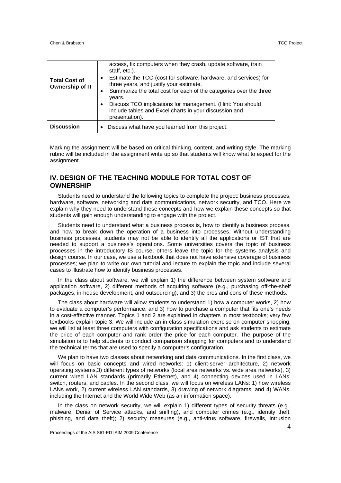|                                         | access, fix computers when they crash, update software, train<br>staff, etc.).                                                                                                                                                                                                                                                                                  |
|-----------------------------------------|-----------------------------------------------------------------------------------------------------------------------------------------------------------------------------------------------------------------------------------------------------------------------------------------------------------------------------------------------------------------|
| <b>Total Cost of</b><br>Ownership of IT | Estimate the TCO (cost for software, hardware, and services) for<br>three years, and justify your estimate.<br>Summarize the total cost for each of the categories over the three<br>$\bullet$<br>years.<br>Discuss TCO implications for management. (Hint: You should<br>$\bullet$<br>include tables and Excel charts in your discussion and<br>presentation). |
| <b>Discussion</b>                       | Discuss what have you learned from this project.                                                                                                                                                                                                                                                                                                                |

Marking the assignment will be based on critical thinking, content, and writing style. The marking rubric will be included in the assignment write up so that students will know what to expect for the assignment.

# **IV. DESIGN OF THE TEACHING MODULE FOR TOTAL COST OF OWNERSHIP**

Students need to understand the following topics to complete the project: business processes, hardware, software, networking and data communications, network security, and TCO. Here we explain why they need to understand these concepts and how we explain these concepts so that students will gain enough understanding to engage with the project.

Students need to understand what a business process is, how to identify a business process, and how to break down the operation of a business into processes. Without understanding business processes, students may not be able to identify all the applications or IST that are needed to support a business's operations. Some universities covers the topic of business processes in the introductory IS course; others leave the topic for the systems analysis and design course. In our case, we use a textbook that does not have extensive coverage of business processes; we plan to write our own tutorial and lecture to explain the topic and include several cases to illustrate how to identify business processes.

In the class about software, we will explain 1) the difference between system software and application software, 2) different methods of acquiring software (e.g., purchasing off-the-shelf packages, in-house development, and outsourcing), and 3) the pros and cons of these methods.

The class about hardware will allow students to understand 1) how a computer works, 2) how to evaluate a computer's performance, and 3) how to purchase a computer that fits one's needs in a cost-effective manner. Topics 1 and 2 are explained in chapters in most textbooks; very few textbooks explain topic 3. We will include an in-class simulation exercise on computer shopping; we will list at least three computers with configuration specifications and ask students to estimate the price of each computer and rank order the price for each computer. The purpose of the simulation is to help students to conduct comparison shopping for computers and to understand the technical terms that are used to specify a computer's configuration.

We plan to have two classes about networking and data communications. In the first class, we will focus on basic concepts and wired networks: 1) client-server architecture, 2) network operating systems,3) different types of networks (local area networks vs. wide area networks), 3) current wired LAN standards (primarily Ethernet), and 4) connecting devices used in LANs: switch, routers, and cables. In the second class, we will focus on wireless LANs: 1) how wireless LANs work, 2) current wireless LAN standards, 3) drawing of network diagrams, and 4) WANs, including the Internet and the World Wide Web (as an information space).

In the class on network security, we will explain 1) different types of security threats (e.g., malware, Denial of Service attacks, and sniffing), and computer crimes (e.g., identity theft, phishing, and data theft); 2) security measures (e.g., anti-virus software, firewalls, intrusion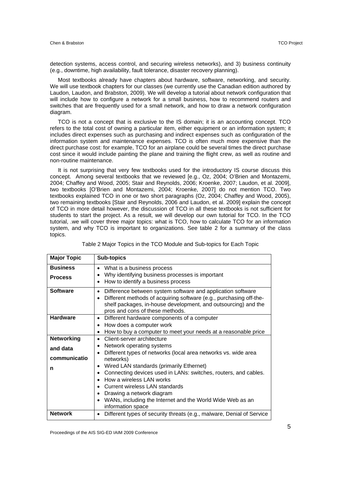detection systems, access control, and securing wireless networks), and 3) business continuity (e.g., downtime, high availability, fault tolerance, disaster recovery planning).

Most textbooks already have chapters about hardware, software, networking, and security. We will use textbook chapters for our classes (we currently use the Canadian edition authored by Laudon, Laudon, and Brabston, 2009). We will develop a tutorial about network configuration that will include how to configure a network for a small business, how to recommend routers and switches that are frequently used for a small network, and how to draw a network configuration diagram.

TCO is not a concept that is exclusive to the IS domain; it is an accounting concept. TCO refers to the total cost of owning a particular item, either equipment or an information system; it includes direct expenses such as purchasing and indirect expenses such as configuration of the information system and maintenance expenses. TCO is often much more expensive than the direct purchase cost: for example, TCO for an airplane could be several times the direct purchase cost since it would include painting the plane and training the flight crew, as well as routine and non-routine maintenance.

It is not surprising that very few textbooks used for the introductory IS course discuss this concept. Among several textbooks that we reviewed [e.g., Oz, 2004; O'Brien and Montazemi, 2004; Chaffey and Wood, 2005; Stair and Reynolds, 2006; Kroenke, 2007; Laudon, et al. 2009], two textbooks [O'Brien and Montazemi, 2004; Kroenke, 2007] do not mention TCO. Two textbooks explained TCO in one or two short paragraphs (Oz, 2004; Chaffey and Wood, 2005), two remaining textbooks [Stair and Reynolds, 2006 and Laudon, et al. 2009] explain the concept of TCO in more detail however, the discussion of TCO in all these textbooks is not sufficient for students to start the project. As a result, we will develop our own tutorial for TCO. In the TCO tutorial, .we will cover three major topics: what is TCO, how to calculate TCO for an information system, and why TCO is important to organizations. See table 2 for a summary of the class topics.

| <b>Major Topic</b>                                             | <b>Sub-topics</b>                                                                                                                                                                                                                                   |  |  |  |
|----------------------------------------------------------------|-----------------------------------------------------------------------------------------------------------------------------------------------------------------------------------------------------------------------------------------------------|--|--|--|
| <b>Business</b><br><b>Process</b>                              | What is a business process<br>$\bullet$<br>Why identifying business processes is important                                                                                                                                                          |  |  |  |
|                                                                | How to identify a business process<br>$\bullet$                                                                                                                                                                                                     |  |  |  |
| <b>Software</b>                                                | Difference between system software and application software<br>$\bullet$<br>Different methods of acquiring software (e.g., purchasing off-the-<br>shelf packages, in-house development, and outsourcing) and the<br>pros and cons of these methods. |  |  |  |
| <b>Hardware</b>                                                | Different hardware components of a computer<br>٠                                                                                                                                                                                                    |  |  |  |
|                                                                | How does a computer work<br>$\bullet$                                                                                                                                                                                                               |  |  |  |
|                                                                | How to buy a computer to meet your needs at a reasonable price<br>٠                                                                                                                                                                                 |  |  |  |
| <b>Networking</b>                                              | Client-server architecture<br>$\bullet$                                                                                                                                                                                                             |  |  |  |
| and data                                                       | Network operating systems                                                                                                                                                                                                                           |  |  |  |
| Different types of networks (local area networks vs. wide area |                                                                                                                                                                                                                                                     |  |  |  |
| communicatio                                                   | networks)                                                                                                                                                                                                                                           |  |  |  |
| n                                                              | Wired LAN standards (primarily Ethernet)                                                                                                                                                                                                            |  |  |  |
|                                                                | Connecting devices used in LANs: switches, routers, and cables.<br>$\bullet$                                                                                                                                                                        |  |  |  |
|                                                                | How a wireless LAN works                                                                                                                                                                                                                            |  |  |  |
|                                                                | Current wireless LAN standards                                                                                                                                                                                                                      |  |  |  |
|                                                                | Drawing a network diagram                                                                                                                                                                                                                           |  |  |  |
|                                                                | WANs, including the Internet and the World Wide Web as an<br>$\bullet$<br>information space                                                                                                                                                         |  |  |  |
| <b>Network</b>                                                 | Different types of security threats (e.g., malware, Denial of Service                                                                                                                                                                               |  |  |  |

|  | Table 2 Major Topics in the TCO Module and Sub-topics for Each Topic |  |
|--|----------------------------------------------------------------------|--|
|  |                                                                      |  |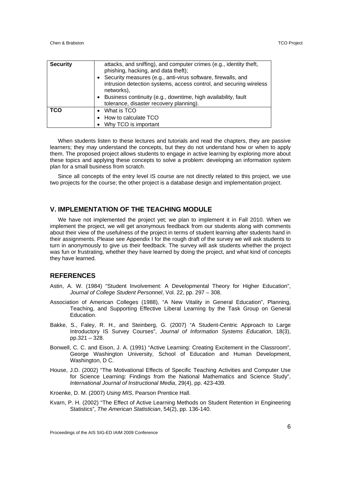| <b>Security</b> | attacks, and sniffing), and computer crimes (e.g., identity theft,<br>phishing, hacking, and data theft);<br>Security measures (e.g., anti-virus software, firewalls, and<br>intrusion detection systems, access control, and securing wireless<br>networks),<br>Business continuity (e.g., downtime, high availability, fault<br>tolerance, disaster recovery planning). |
|-----------------|---------------------------------------------------------------------------------------------------------------------------------------------------------------------------------------------------------------------------------------------------------------------------------------------------------------------------------------------------------------------------|
| <b>TCO</b>      | • What is TCO<br>• How to calculate TCO<br>Why TCO is important                                                                                                                                                                                                                                                                                                           |

When students listen to these lectures and tutorials and read the chapters, they are passive learners; they may understand the concepts, but they do not understand how or when to apply them. The proposed project allows students to engage in active learning by exploring more about these topics and applying these concepts to solve a problem: developing an information system plan for a small business from scratch.

Since all concepts of the entry level IS course are not directly related to this project, we use two projects for the course; the other project is a database design and implementation project.

#### **V. IMPLEMENTATION OF THE TEACHING MODULE**

We have not implemented the project yet; we plan to implement it in Fall 2010. When we implement the project, we will get anonymous feedback from our students along with comments about their view of the usefulness of the project in terms of student learning after students hand in their assignments. Please see Appendix I for the rough draft of the survey we will ask students to turn in anonymously to give us their feedback. The survey will ask students whether the project was fun or frustrating, whether they have learned by doing the project, and what kind of concepts they have learned.

#### **REFERENCES**

- Astin, A. W. (1984) "Student Involvement: A Developmental Theory for Higher Education", *Journal of College Student Personnel*, Vol. 22, pp. 297 – 308.
- Association of American Colleges (1988), "A New Vitality in General Education", Planning, Teaching, and Supporting Effective Liberal Learning by the Task Group on General Education.
- Bakke, S., Faley, R. H., and Steinberg, G. (2007) "A Student-Centric Approach to Large Introductory IS Survey Courses", *Journal of Information Systems Education*, 18(3), pp.321 – 328.
- Bonwell, C. C. and Eison, J. A. (1991) "Active Learning: Creating Excitement in the Classroom", George Washington University, School of Education and Human Development, Washington, D C.
- House, J.D. (2002) "The Motivational Effects of Specific Teaching Activities and Computer Use for Science Learning: Findings from the National Mathematics and Science Study", *International Journal of Instructional Media*, 29(4), pp. 423-439.

Kroenke, D. M. (2007) *Using MIS*, Pearson Prentice Hall.

Kvarn, P. H. (2002) "The Effect of Active Learning Methods on Student Retention in Engineering Statistics", *The American Statistician*, 54(2), pp. 136-140.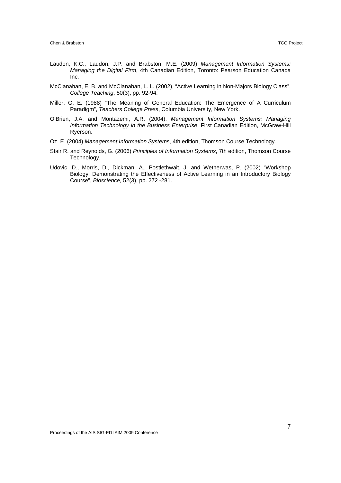- Laudon, K.C., Laudon, J.P. and Brabston, M.E. (2009) *Management Information Systems: Managing the Digital Firm*, 4th Canadian Edition, Toronto: Pearson Education Canada Inc.
- McClanahan, E. B. and McClanahan, L. L. (2002), "Active Learning in Non-Majors Biology Class", *College Teaching*, 50(3), pp. 92-94.
- Miller, G. E. (1988) "The Meaning of General Education: The Emergence of A Curriculum Paradigm", *Teachers College Press*, Columbia University, New York.
- O'Brien, J.A. and Montazemi, A.R. (2004), *Management Information Systems: Managing Information Technology in the Business Enterprise*, First Canadian Edition, McGraw-Hill Ryerson.
- Oz, E. (2004) *Management Information Systems*, 4th edition, Thomson Course Technology.
- Stair R. and Reynolds, G. (2006) *Principles of Information Systems*, 7th edition, Thomson Course Technology.
- Udovic, D., Morris, D., Dickman, A., Postlethwait, J. and Wetherwas, P. (2002) "Workshop Biology: Demonstrating the Effectiveness of Active Learning in an Introductory Biology Course", *Bioscience,* 52(3), pp. 272 -281.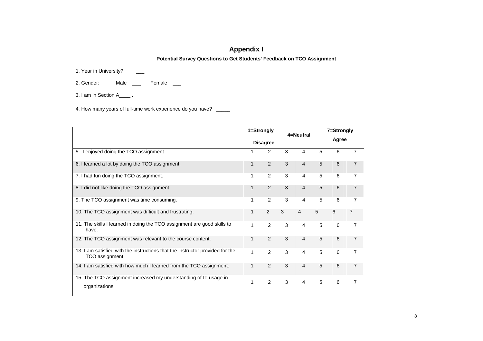# **Appendix I**

**Potential Survey Questions to Get Students' Feedback on TCO Assignment** 

1. Year in University?

2. Gender: Male \_\_\_ Female \_\_

3. I am in Section A\_\_\_\_ .

4. How many years of full-time work experience do you have? \_\_\_\_\_

|                                                                                                  | 1=Strongly<br><b>Disagree</b> |                |   |                |   | 7=Strongly |                |  |
|--------------------------------------------------------------------------------------------------|-------------------------------|----------------|---|----------------|---|------------|----------------|--|
|                                                                                                  |                               |                |   | 4=Neutral      |   | Agree      |                |  |
| 5. I enjoyed doing the TCO assignment.                                                           | 1                             | 2              | 3 | 4              | 5 | 6          | 7              |  |
| 6. I learned a lot by doing the TCO assignment.                                                  | $\mathbf{1}$                  | $\mathcal{P}$  | 3 | $\overline{4}$ | 5 | 6          | $\overline{7}$ |  |
| 7. I had fun doing the TCO assignment.                                                           | 1                             | $\overline{2}$ | 3 | 4              | 5 | 6          | 7              |  |
| 8. I did not like doing the TCO assignment.                                                      | 1                             | 2              | 3 | 4              | 5 | 6          | 7              |  |
| 9. The TCO assignment was time consuming.                                                        | 1                             | 2              | 3 | 4              | 5 | 6          | 7              |  |
| 10. The TCO assignment was difficult and frustrating.                                            | $\mathbf{1}$                  | 2              | 3 | $\overline{4}$ | 5 | 6          | 7              |  |
| 11. The skills I learned in doing the TCO assignment are good skills to<br>have.                 | 1                             | 2              | 3 | 4              | 5 | 6          | 7              |  |
| 12. The TCO assignment was relevant to the course content.                                       | 1                             | 2              | 3 | 4              | 5 | 6          | $\overline{7}$ |  |
| 13. I am satisfied with the instructions that the instructor provided for the<br>TCO assignment. | 1                             | $\overline{2}$ | 3 | 4              | 5 | 6          | 7              |  |
| 14. I am satisfied with how much I learned from the TCO assignment.                              | 1                             | 2              | 3 | 4              | 5 | 6          | 7              |  |
| 15. The TCO assignment increased my understanding of IT usage in<br>organizations.               | 1                             | $\overline{2}$ | 3 | 4              | 5 | 6          | $\overline{7}$ |  |